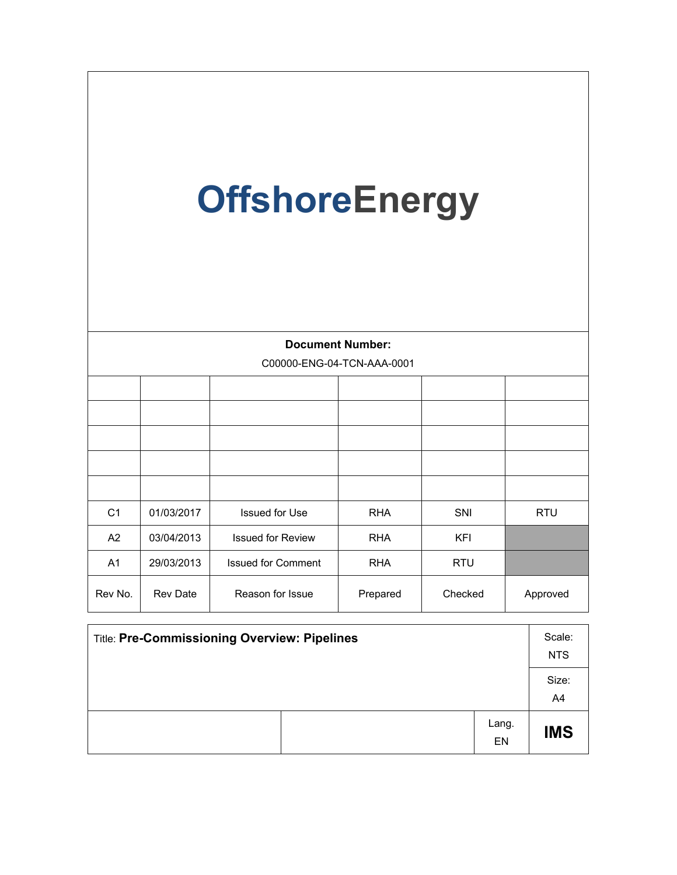| <b>OffshoreEnergy</b> |            |                            |            |            |            |
|-----------------------|------------|----------------------------|------------|------------|------------|
|                       |            | <b>Document Number:</b>    |            |            |            |
|                       |            | C00000-ENG-04-TCN-AAA-0001 |            |            |            |
|                       |            |                            |            |            |            |
|                       |            |                            |            |            |            |
|                       |            |                            |            |            |            |
|                       |            |                            |            |            |            |
|                       |            |                            |            |            |            |
| C <sub>1</sub>        | 01/03/2017 | <b>Issued for Use</b>      | <b>RHA</b> | SNI        | <b>RTU</b> |
| A2                    | 03/04/2013 | <b>Issued for Review</b>   | <b>RHA</b> | <b>KFI</b> |            |
| A <sub>1</sub>        | 29/03/2013 | <b>Issued for Comment</b>  | <b>RHA</b> | <b>RTU</b> |            |
| Rev No.               | Rev Date   | Reason for Issue           | Prepared   | Checked    | Approved   |

| Title: Pre-Commissioning Overview: Pipelines |             |             |
|----------------------------------------------|-------------|-------------|
|                                              |             | Size:<br>A4 |
|                                              | Lang.<br>EN | <b>IMS</b>  |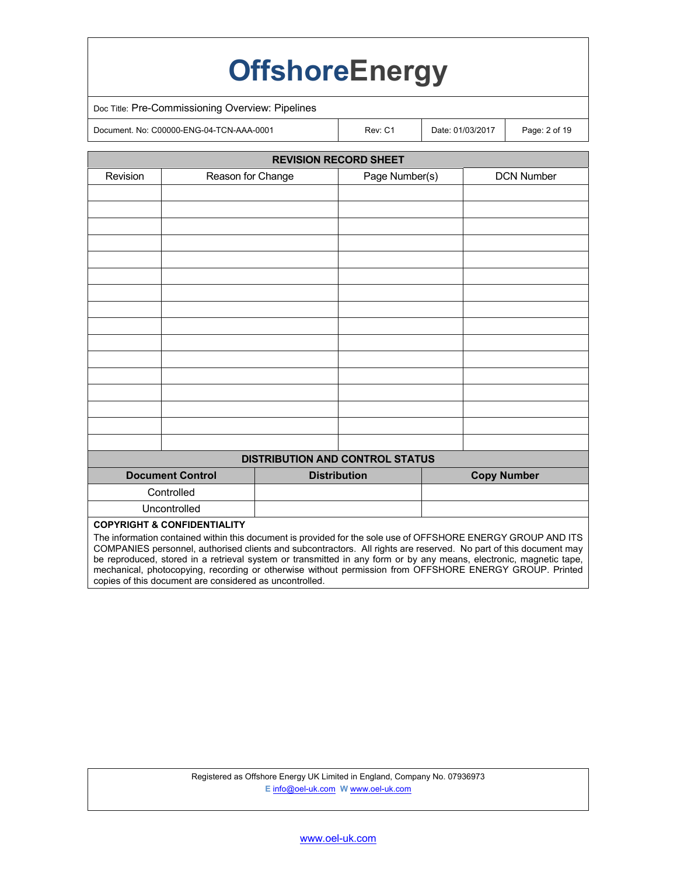|                                        |                                                  | <b>OffshoreEnergy</b>                                                                                                                                                                                                             |                    |                   |
|----------------------------------------|--------------------------------------------------|-----------------------------------------------------------------------------------------------------------------------------------------------------------------------------------------------------------------------------------|--------------------|-------------------|
|                                        | Doc Title: Pre-Commissioning Overview: Pipelines |                                                                                                                                                                                                                                   |                    |                   |
|                                        | Document. No: C00000-ENG-04-TCN-AAA-0001         | Rev: C1                                                                                                                                                                                                                           | Date: 01/03/2017   | Page: 2 of 19     |
|                                        |                                                  | <b>REVISION RECORD SHEET</b>                                                                                                                                                                                                      |                    |                   |
| Revision                               | Reason for Change                                | Page Number(s)                                                                                                                                                                                                                    |                    | <b>DCN Number</b> |
|                                        |                                                  |                                                                                                                                                                                                                                   |                    |                   |
|                                        |                                                  |                                                                                                                                                                                                                                   |                    |                   |
|                                        |                                                  |                                                                                                                                                                                                                                   |                    |                   |
|                                        |                                                  |                                                                                                                                                                                                                                   |                    |                   |
|                                        |                                                  |                                                                                                                                                                                                                                   |                    |                   |
|                                        |                                                  |                                                                                                                                                                                                                                   |                    |                   |
|                                        |                                                  |                                                                                                                                                                                                                                   |                    |                   |
|                                        |                                                  |                                                                                                                                                                                                                                   |                    |                   |
|                                        |                                                  |                                                                                                                                                                                                                                   |                    |                   |
|                                        |                                                  |                                                                                                                                                                                                                                   |                    |                   |
|                                        |                                                  |                                                                                                                                                                                                                                   |                    |                   |
|                                        |                                                  |                                                                                                                                                                                                                                   |                    |                   |
|                                        |                                                  |                                                                                                                                                                                                                                   |                    |                   |
|                                        |                                                  |                                                                                                                                                                                                                                   |                    |                   |
|                                        |                                                  | <b>DISTRIBUTION AND CONTROL STATUS</b>                                                                                                                                                                                            |                    |                   |
| <b>Document Control</b>                |                                                  | <b>Distribution</b>                                                                                                                                                                                                               | <b>Copy Number</b> |                   |
| Controlled                             |                                                  |                                                                                                                                                                                                                                   |                    |                   |
| Uncontrolled                           |                                                  |                                                                                                                                                                                                                                   |                    |                   |
| <b>COPYRIGHT &amp; CONFIDENTIALITY</b> |                                                  | The information contained within this document is provided for the sole use of OFFSHORE ENERGY GROUP AND ITS<br>COMPANIES personnel, authorised clients and subcontractors. All rights are reserved. No part of this document may |                    |                   |

be reproduced, stored in a retrieval system or transmitted in any form or by any means, electronic, magnetic tape, mechanical, photocopying, recording or otherwise without permission from OFFSHORE ENERGY GROUP. Printed copies of this document are considered as uncontrolled.

> Registered as Offshore Energy UK Limited in England, Company No. 07936973 **E** info@oel-uk.com **W** www.oel-uk.com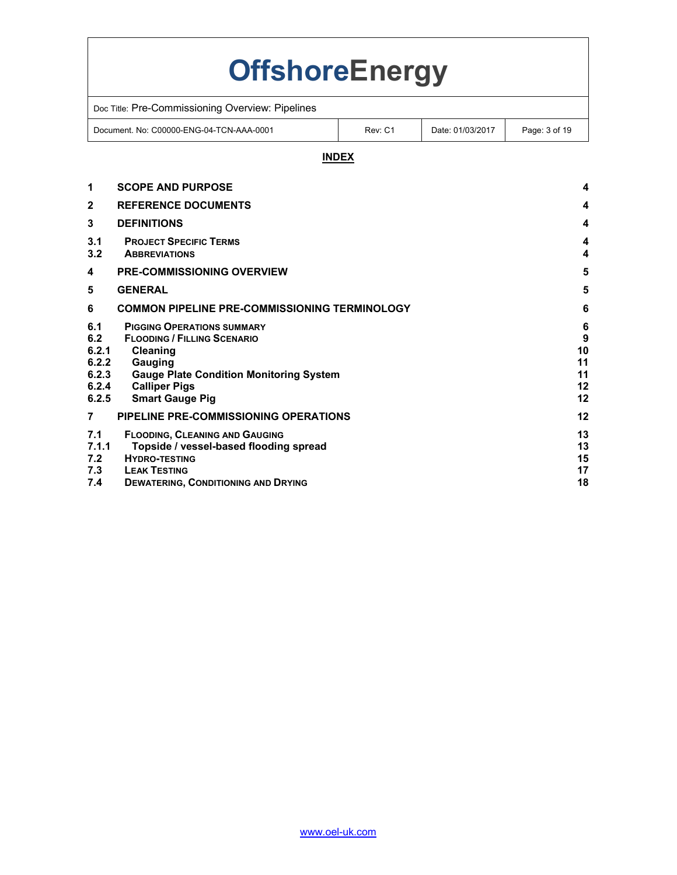# **OffshoreEnergy**

| Doc Title: Pre-Commissioning Overview: Pipelines |         |                  |               |  |
|--------------------------------------------------|---------|------------------|---------------|--|
| Document, No: C00000-ENG-04-TCN-AAA-0001         | Rev: C1 | Date: 01/03/2017 | Page: 3 of 19 |  |

# **INDEX**

| 1                                                       | <b>SCOPE AND PURPOSE</b>                                                                                                                                                                           | 4                                    |
|---------------------------------------------------------|----------------------------------------------------------------------------------------------------------------------------------------------------------------------------------------------------|--------------------------------------|
| $\mathbf{2}$                                            | <b>REFERENCE DOCUMENTS</b>                                                                                                                                                                         | 4                                    |
| 3                                                       | <b>DEFINITIONS</b>                                                                                                                                                                                 | 4                                    |
| 3.1<br>3.2                                              | <b>PROJECT SPECIFIC TERMS</b><br><b>ABBREVIATIONS</b>                                                                                                                                              | 4<br>4                               |
| 4                                                       | <b>PRE-COMMISSIONING OVERVIEW</b>                                                                                                                                                                  | 5                                    |
| 5                                                       | <b>GENERAL</b>                                                                                                                                                                                     | 5                                    |
| 6                                                       | <b>COMMON PIPELINE PRE-COMMISSIONING TERMINOLOGY</b>                                                                                                                                               | 6                                    |
| 6.1<br>6.2<br>6.2.1<br>6.2.2<br>6.2.3<br>6.2.4<br>6.2.5 | <b>PIGGING OPERATIONS SUMMARY</b><br><b>FLOODING / FILLING SCENARIO</b><br>Cleaning<br>Gauging<br><b>Gauge Plate Condition Monitoring System</b><br><b>Calliper Pigs</b><br><b>Smart Gauge Pig</b> | 6<br>9<br>10<br>11<br>11<br>12<br>12 |
| $\overline{7}$                                          | PIPELINE PRE-COMMISSIONING OPERATIONS                                                                                                                                                              | 12                                   |
| 7.1<br>7.1.1<br>7.2<br>7.3<br>7.4                       | <b>FLOODING, CLEANING AND GAUGING</b><br>Topside / vessel-based flooding spread<br><b>HYDRO-TESTING</b><br><b>LEAK TESTING</b><br><b>DEWATERING, CONDITIONING AND DRYING</b>                       | 13<br>13<br>15<br>17<br>18           |
|                                                         |                                                                                                                                                                                                    |                                      |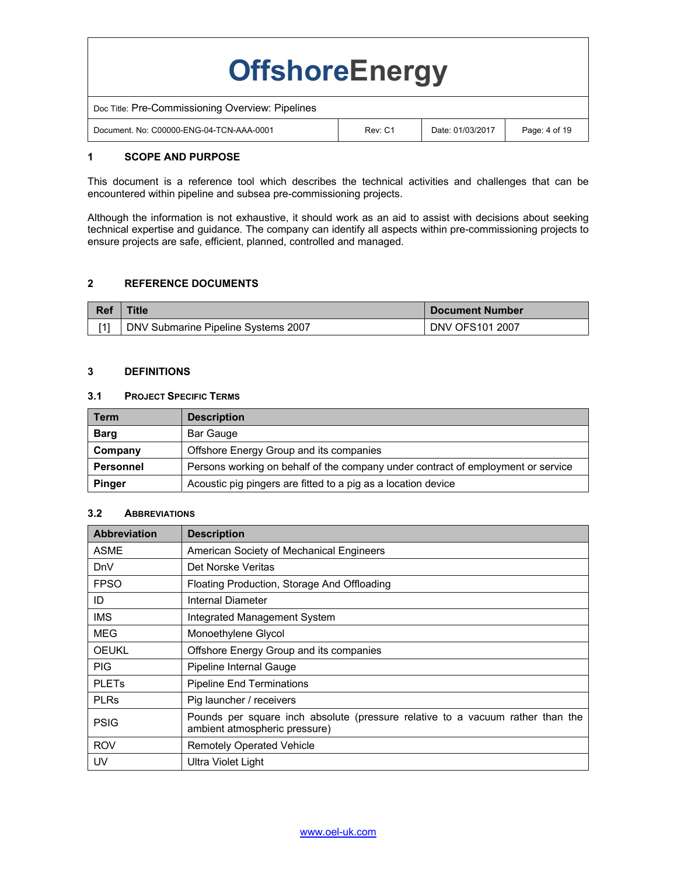| <b>OffshoreEnergy</b>                            |         |                  |               |  |  |
|--------------------------------------------------|---------|------------------|---------------|--|--|
| Doc Title: Pre-Commissioning Overview: Pipelines |         |                  |               |  |  |
| Document, No: C00000-ENG-04-TCN-AAA-0001         | Rev: C1 | Date: 01/03/2017 | Page: 4 of 19 |  |  |

### **1 SCOPE AND PURPOSE**

This document is a reference tool which describes the technical activities and challenges that can be encountered within pipeline and subsea pre-commissioning projects.

Although the information is not exhaustive, it should work as an aid to assist with decisions about seeking technical expertise and guidance. The company can identify all aspects within pre-commissioning projects to ensure projects are safe, efficient, planned, controlled and managed.

### **2 REFERENCE DOCUMENTS**

| <b>Ref</b> | ⊺itle                               | <b>Document Number</b> |
|------------|-------------------------------------|------------------------|
|            | DNV Submarine Pipeline Systems 2007 | <b>DNV OFS101 2007</b> |

### **3 DEFINITIONS**

#### **3.1 PROJECT SPECIFIC TERMS**

| <b>Term</b>      | <b>Description</b>                                                               |
|------------------|----------------------------------------------------------------------------------|
| <b>Barg</b>      | Bar Gauge                                                                        |
| Company          | Offshore Energy Group and its companies                                          |
| <b>Personnel</b> | Persons working on behalf of the company under contract of employment or service |
| <b>Pinger</b>    | Acoustic pig pingers are fitted to a pig as a location device                    |

#### **3.2 ABBREVIATIONS**

| <b>Abbreviation</b>     | <b>Description</b>                                                                                              |
|-------------------------|-----------------------------------------------------------------------------------------------------------------|
| <b>ASME</b>             | American Society of Mechanical Engineers                                                                        |
| <b>DnV</b>              | Det Norske Veritas                                                                                              |
| <b>FPSO</b>             | Floating Production, Storage And Offloading                                                                     |
| ID                      | Internal Diameter                                                                                               |
| IMS                     | Integrated Management System                                                                                    |
| MEG                     | Monoethylene Glycol                                                                                             |
| <b>OEUKL</b>            | Offshore Energy Group and its companies                                                                         |
| <b>PIG</b>              | Pipeline Internal Gauge                                                                                         |
| <b>PLET<sub>s</sub></b> | <b>Pipeline End Terminations</b>                                                                                |
| <b>PLRs</b>             | Pig launcher / receivers                                                                                        |
| <b>PSIG</b>             | Pounds per square inch absolute (pressure relative to a vacuum rather than the<br>ambient atmospheric pressure) |
| <b>ROV</b>              | <b>Remotely Operated Vehicle</b>                                                                                |
| UV                      | Ultra Violet Light                                                                                              |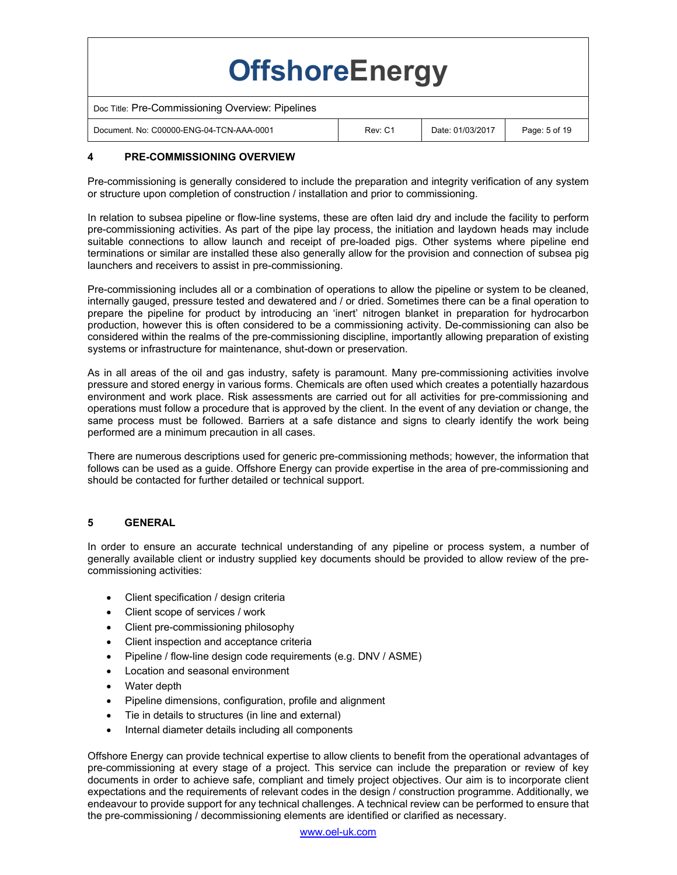| <b>OffshoreEnergy</b>                            |         |                  |               |  |  |
|--------------------------------------------------|---------|------------------|---------------|--|--|
| Doc Title: Pre-Commissioning Overview: Pipelines |         |                  |               |  |  |
| Document, No: C00000-ENG-04-TCN-AAA-0001         | Rev: C1 | Date: 01/03/2017 | Page: 5 of 19 |  |  |

# **4 PRE-COMMISSIONING OVERVIEW**

Pre-commissioning is generally considered to include the preparation and integrity verification of any system or structure upon completion of construction / installation and prior to commissioning.

In relation to subsea pipeline or flow-line systems, these are often laid dry and include the facility to perform pre-commissioning activities. As part of the pipe lay process, the initiation and laydown heads may include suitable connections to allow launch and receipt of pre-loaded pigs. Other systems where pipeline end terminations or similar are installed these also generally allow for the provision and connection of subsea pig launchers and receivers to assist in pre-commissioning.

Pre-commissioning includes all or a combination of operations to allow the pipeline or system to be cleaned, internally gauged, pressure tested and dewatered and / or dried. Sometimes there can be a final operation to prepare the pipeline for product by introducing an 'inert' nitrogen blanket in preparation for hydrocarbon production, however this is often considered to be a commissioning activity. De-commissioning can also be considered within the realms of the pre-commissioning discipline, importantly allowing preparation of existing systems or infrastructure for maintenance, shut-down or preservation.

As in all areas of the oil and gas industry, safety is paramount. Many pre-commissioning activities involve pressure and stored energy in various forms. Chemicals are often used which creates a potentially hazardous environment and work place. Risk assessments are carried out for all activities for pre-commissioning and operations must follow a procedure that is approved by the client. In the event of any deviation or change, the same process must be followed. Barriers at a safe distance and signs to clearly identify the work being performed are a minimum precaution in all cases.

There are numerous descriptions used for generic pre-commissioning methods; however, the information that follows can be used as a guide. Offshore Energy can provide expertise in the area of pre-commissioning and should be contacted for further detailed or technical support.

# **5 GENERAL**

In order to ensure an accurate technical understanding of any pipeline or process system, a number of generally available client or industry supplied key documents should be provided to allow review of the precommissioning activities:

- Client specification / design criteria
- Client scope of services / work
- Client pre-commissioning philosophy
- Client inspection and acceptance criteria
- Pipeline / flow-line design code requirements (e.g. DNV / ASME)
- Location and seasonal environment
- Water depth
- Pipeline dimensions, configuration, profile and alignment
- Tie in details to structures (in line and external)
- Internal diameter details including all components

Offshore Energy can provide technical expertise to allow clients to benefit from the operational advantages of pre-commissioning at every stage of a project. This service can include the preparation or review of key documents in order to achieve safe, compliant and timely project objectives. Our aim is to incorporate client expectations and the requirements of relevant codes in the design / construction programme. Additionally, we endeavour to provide support for any technical challenges. A technical review can be performed to ensure that the pre-commissioning / decommissioning elements are identified or clarified as necessary.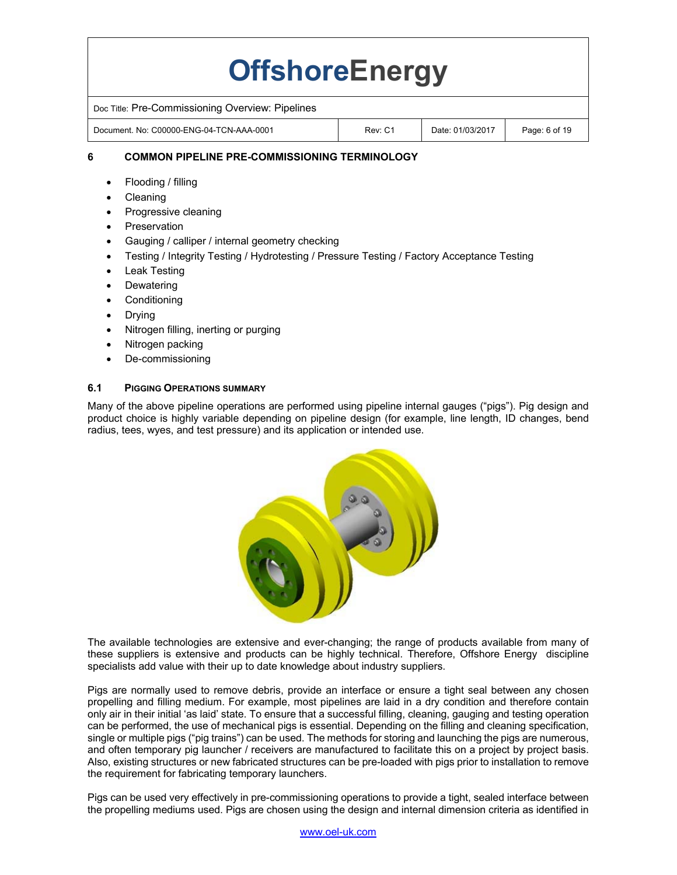# **OffshoreEnergy**

Doc Title: Pre-Commissioning Overview: Pipelines

Document. No: C00000-ENG-04-TCN-AAA-0001 Rev: C1 Date: 01/03/2017 Page: 6 of 19

# **6 COMMON PIPELINE PRE-COMMISSIONING TERMINOLOGY**

- Flooding / filling
- Cleaning
- Progressive cleaning
- Preservation
- Gauging / calliper / internal geometry checking
- Testing / Integrity Testing / Hydrotesting / Pressure Testing / Factory Acceptance Testing
- Leak Testing
- Dewatering
- Conditioning
- Drying
- Nitrogen filling, inerting or purging
- Nitrogen packing
- De-commissioning

# **6.1 PIGGING OPERATIONS SUMMARY**

Many of the above pipeline operations are performed using pipeline internal gauges ("pigs"). Pig design and product choice is highly variable depending on pipeline design (for example, line length, ID changes, bend radius, tees, wyes, and test pressure) and its application or intended use.



The available technologies are extensive and ever-changing; the range of products available from many of these suppliers is extensive and products can be highly technical. Therefore, Offshore Energy discipline specialists add value with their up to date knowledge about industry suppliers.

Pigs are normally used to remove debris, provide an interface or ensure a tight seal between any chosen propelling and filling medium. For example, most pipelines are laid in a dry condition and therefore contain only air in their initial 'as laid' state. To ensure that a successful filling, cleaning, gauging and testing operation can be performed, the use of mechanical pigs is essential. Depending on the filling and cleaning specification, single or multiple pigs ("pig trains") can be used. The methods for storing and launching the pigs are numerous, and often temporary pig launcher / receivers are manufactured to facilitate this on a project by project basis. Also, existing structures or new fabricated structures can be pre-loaded with pigs prior to installation to remove the requirement for fabricating temporary launchers.

Pigs can be used very effectively in pre-commissioning operations to provide a tight, sealed interface between the propelling mediums used. Pigs are chosen using the design and internal dimension criteria as identified in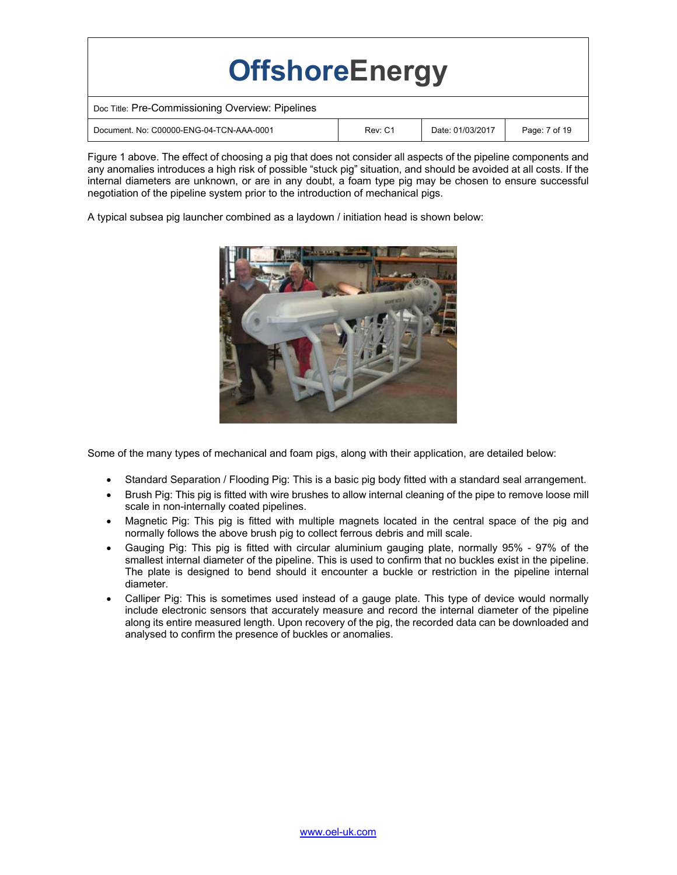| <b>OffshoreEnergy</b>                            |         |                  |               |  |  |
|--------------------------------------------------|---------|------------------|---------------|--|--|
| Doc Title: Pre-Commissioning Overview: Pipelines |         |                  |               |  |  |
| Document, No: C00000-ENG-04-TCN-AAA-0001         | Rev: C1 | Date: 01/03/2017 | Page: 7 of 19 |  |  |

Figure 1 above. The effect of choosing a pig that does not consider all aspects of the pipeline components and any anomalies introduces a high risk of possible "stuck pig" situation, and should be avoided at all costs. If the internal diameters are unknown, or are in any doubt, a foam type pig may be chosen to ensure successful negotiation of the pipeline system prior to the introduction of mechanical pigs.

A typical subsea pig launcher combined as a laydown / initiation head is shown below:



Some of the many types of mechanical and foam pigs, along with their application, are detailed below:

- Standard Separation / Flooding Pig: This is a basic pig body fitted with a standard seal arrangement.
- Brush Pig: This pig is fitted with wire brushes to allow internal cleaning of the pipe to remove loose mill scale in non-internally coated pipelines.
- Magnetic Pig: This pig is fitted with multiple magnets located in the central space of the pig and normally follows the above brush pig to collect ferrous debris and mill scale.
- Gauging Pig: This pig is fitted with circular aluminium gauging plate, normally 95% 97% of the smallest internal diameter of the pipeline. This is used to confirm that no buckles exist in the pipeline. The plate is designed to bend should it encounter a buckle or restriction in the pipeline internal diameter.
- Calliper Pig: This is sometimes used instead of a gauge plate. This type of device would normally include electronic sensors that accurately measure and record the internal diameter of the pipeline along its entire measured length. Upon recovery of the pig, the recorded data can be downloaded and analysed to confirm the presence of buckles or anomalies.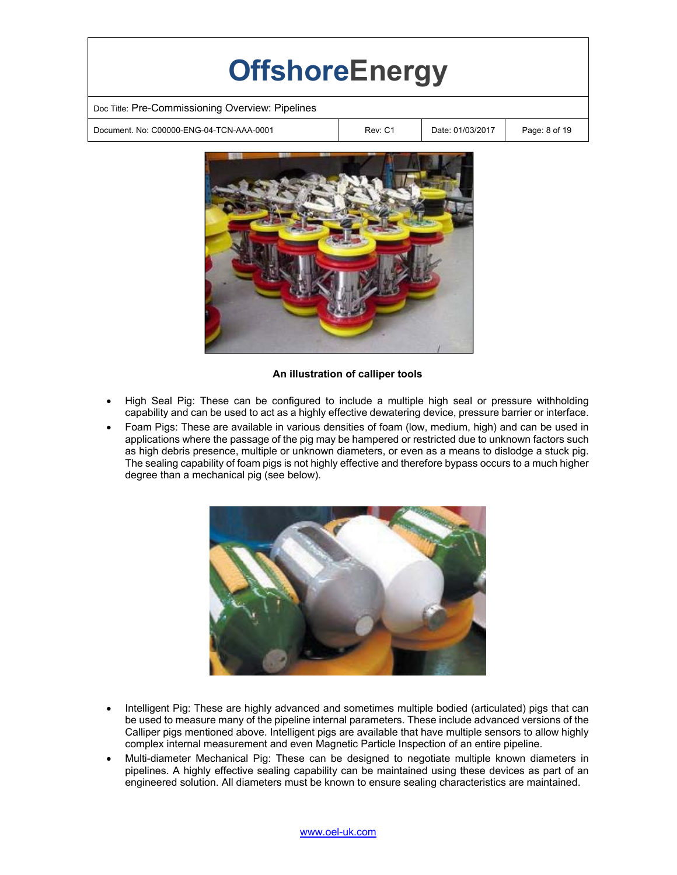| <b>OffshoreEnergy</b>                            |         |                  |               |  |  |  |
|--------------------------------------------------|---------|------------------|---------------|--|--|--|
| Doc Title: Pre-Commissioning Overview: Pipelines |         |                  |               |  |  |  |
| Document, No: C00000-ENG-04-TCN-AAA-0001         | Rev: C1 | Date: 01/03/2017 | Page: 8 of 19 |  |  |  |
|                                                  |         |                  |               |  |  |  |



### **An illustration of calliper tools**

- High Seal Pig: These can be configured to include a multiple high seal or pressure withholding capability and can be used to act as a highly effective dewatering device, pressure barrier or interface.
- Foam Pigs: These are available in various densities of foam (low, medium, high) and can be used in applications where the passage of the pig may be hampered or restricted due to unknown factors such as high debris presence, multiple or unknown diameters, or even as a means to dislodge a stuck pig. The sealing capability of foam pigs is not highly effective and therefore bypass occurs to a much higher degree than a mechanical pig (see below).



- Intelligent Pig: These are highly advanced and sometimes multiple bodied (articulated) pigs that can be used to measure many of the pipeline internal parameters. These include advanced versions of the Calliper pigs mentioned above. Intelligent pigs are available that have multiple sensors to allow highly complex internal measurement and even Magnetic Particle Inspection of an entire pipeline.
- Multi-diameter Mechanical Pig: These can be designed to negotiate multiple known diameters in pipelines. A highly effective sealing capability can be maintained using these devices as part of an engineered solution. All diameters must be known to ensure sealing characteristics are maintained.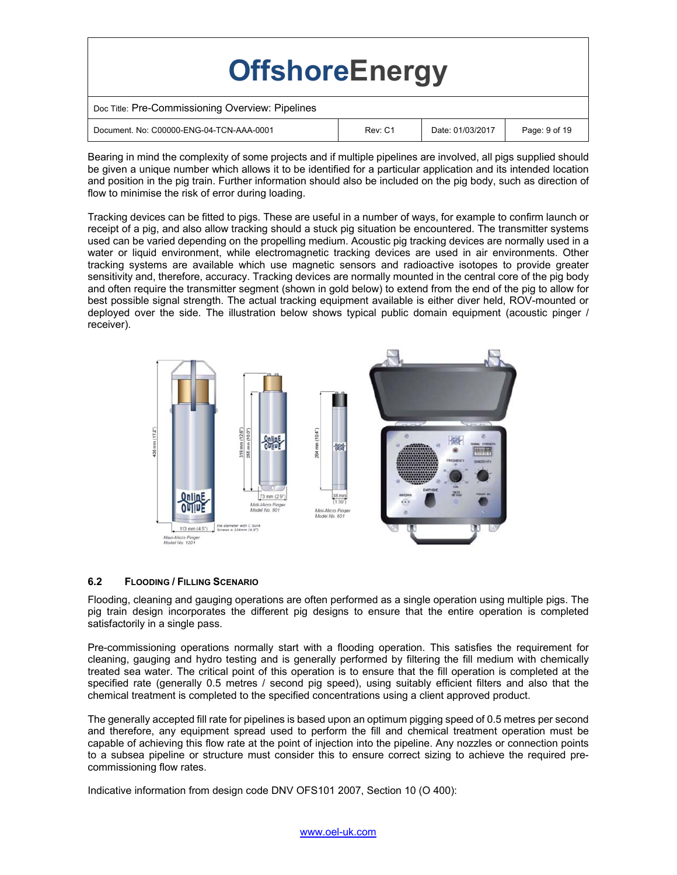| <b>OffshoreEnergy</b>                            |         |                  |               |
|--------------------------------------------------|---------|------------------|---------------|
| Doc Title: Pre-Commissioning Overview: Pipelines |         |                  |               |
| Document, No: C00000-ENG-04-TCN-AAA-0001         | Rev: C1 | Date: 01/03/2017 | Page: 9 of 19 |

Bearing in mind the complexity of some projects and if multiple pipelines are involved, all pigs supplied should be given a unique number which allows it to be identified for a particular application and its intended location and position in the pig train. Further information should also be included on the pig body, such as direction of flow to minimise the risk of error during loading.

Tracking devices can be fitted to pigs. These are useful in a number of ways, for example to confirm launch or receipt of a pig, and also allow tracking should a stuck pig situation be encountered. The transmitter systems used can be varied depending on the propelling medium. Acoustic pig tracking devices are normally used in a water or liquid environment, while electromagnetic tracking devices are used in air environments. Other tracking systems are available which use magnetic sensors and radioactive isotopes to provide greater sensitivity and, therefore, accuracy. Tracking devices are normally mounted in the central core of the pig body and often require the transmitter segment (shown in gold below) to extend from the end of the pig to allow for best possible signal strength. The actual tracking equipment available is either diver held, ROV-mounted or deployed over the side. The illustration below shows typical public domain equipment (acoustic pinger / receiver).



#### **6.2 FLOODING / FILLING SCENARIO**

Flooding, cleaning and gauging operations are often performed as a single operation using multiple pigs. The pig train design incorporates the different pig designs to ensure that the entire operation is completed satisfactorily in a single pass.

Pre-commissioning operations normally start with a flooding operation. This satisfies the requirement for cleaning, gauging and hydro testing and is generally performed by filtering the fill medium with chemically treated sea water. The critical point of this operation is to ensure that the fill operation is completed at the specified rate (generally 0.5 metres / second pig speed), using suitably efficient filters and also that the chemical treatment is completed to the specified concentrations using a client approved product.

The generally accepted fill rate for pipelines is based upon an optimum pigging speed of 0.5 metres per second and therefore, any equipment spread used to perform the fill and chemical treatment operation must be capable of achieving this flow rate at the point of injection into the pipeline. Any nozzles or connection points to a subsea pipeline or structure must consider this to ensure correct sizing to achieve the required precommissioning flow rates.

Indicative information from design code DNV OFS101 2007, Section 10 (O 400):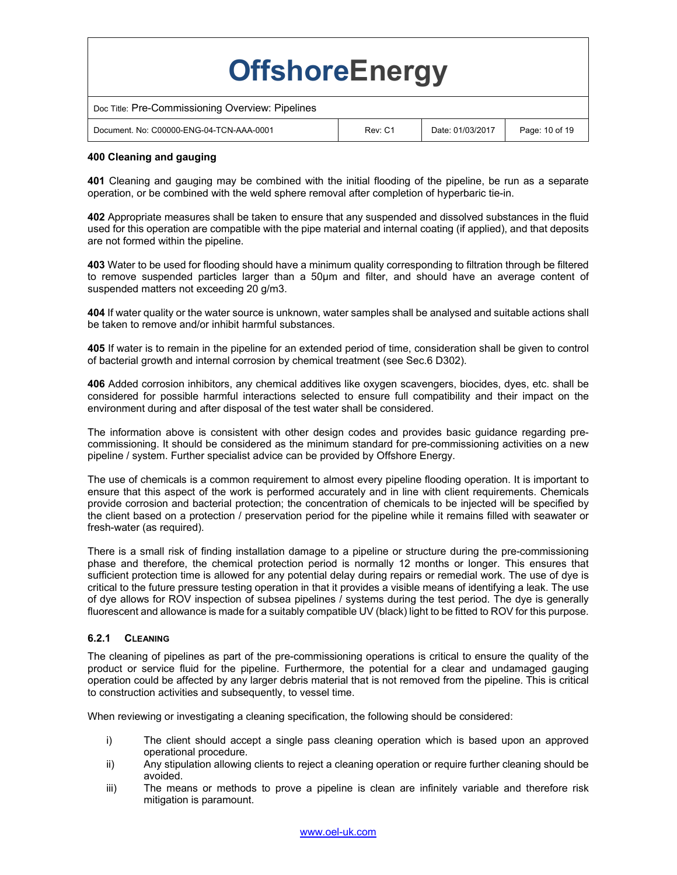| <b>OffshoreEnergy</b>                            |         |                  |                |
|--------------------------------------------------|---------|------------------|----------------|
| Doc Title: Pre-Commissioning Overview: Pipelines |         |                  |                |
| Document, No: C00000-ENG-04-TCN-AAA-0001         | Rev: C1 | Date: 01/03/2017 | Page: 10 of 19 |

#### **400 Cleaning and gauging**

**401** Cleaning and gauging may be combined with the initial flooding of the pipeline, be run as a separate operation, or be combined with the weld sphere removal after completion of hyperbaric tie-in.

**402** Appropriate measures shall be taken to ensure that any suspended and dissolved substances in the fluid used for this operation are compatible with the pipe material and internal coating (if applied), and that deposits are not formed within the pipeline.

**403** Water to be used for flooding should have a minimum quality corresponding to filtration through be filtered to remove suspended particles larger than a 50μm and filter, and should have an average content of suspended matters not exceeding 20 g/m3.

**404** If water quality or the water source is unknown, water samples shall be analysed and suitable actions shall be taken to remove and/or inhibit harmful substances.

**405** If water is to remain in the pipeline for an extended period of time, consideration shall be given to control of bacterial growth and internal corrosion by chemical treatment (see Sec.6 D302).

**406** Added corrosion inhibitors, any chemical additives like oxygen scavengers, biocides, dyes, etc. shall be considered for possible harmful interactions selected to ensure full compatibility and their impact on the environment during and after disposal of the test water shall be considered.

The information above is consistent with other design codes and provides basic guidance regarding precommissioning. It should be considered as the minimum standard for pre-commissioning activities on a new pipeline / system. Further specialist advice can be provided by Offshore Energy.

The use of chemicals is a common requirement to almost every pipeline flooding operation. It is important to ensure that this aspect of the work is performed accurately and in line with client requirements. Chemicals provide corrosion and bacterial protection; the concentration of chemicals to be injected will be specified by the client based on a protection / preservation period for the pipeline while it remains filled with seawater or fresh-water (as required).

There is a small risk of finding installation damage to a pipeline or structure during the pre-commissioning phase and therefore, the chemical protection period is normally 12 months or longer. This ensures that sufficient protection time is allowed for any potential delay during repairs or remedial work. The use of dye is critical to the future pressure testing operation in that it provides a visible means of identifying a leak. The use of dye allows for ROV inspection of subsea pipelines / systems during the test period. The dye is generally fluorescent and allowance is made for a suitably compatible UV (black) light to be fitted to ROV for this purpose.

# **6.2.1 CLEANING**

The cleaning of pipelines as part of the pre-commissioning operations is critical to ensure the quality of the product or service fluid for the pipeline. Furthermore, the potential for a clear and undamaged gauging operation could be affected by any larger debris material that is not removed from the pipeline. This is critical to construction activities and subsequently, to vessel time.

When reviewing or investigating a cleaning specification, the following should be considered:

- i) The client should accept a single pass cleaning operation which is based upon an approved operational procedure.
- ii) Any stipulation allowing clients to reject a cleaning operation or require further cleaning should be avoided.
- iii) The means or methods to prove a pipeline is clean are infinitely variable and therefore risk mitigation is paramount.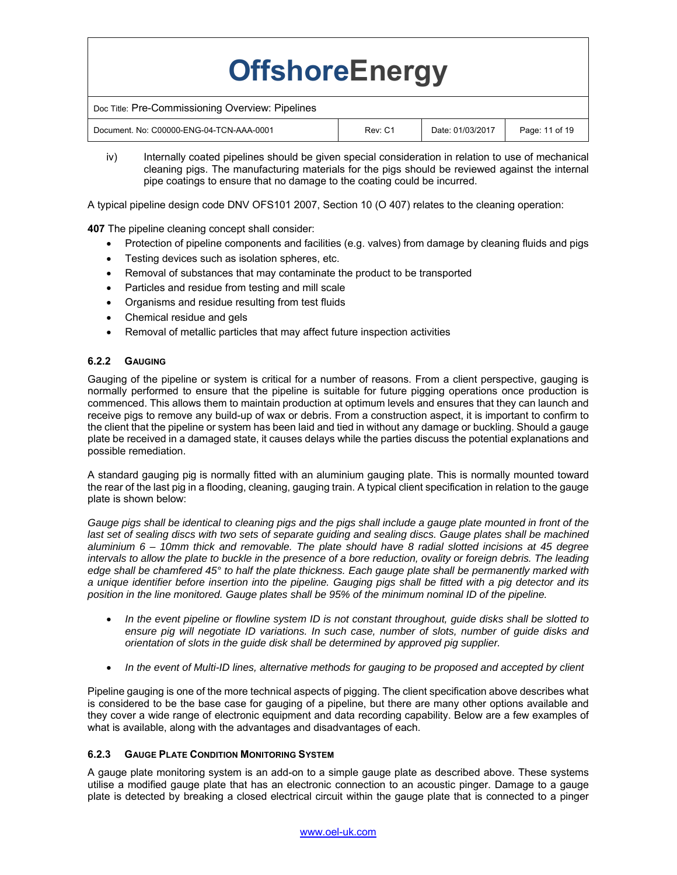| <b>OffshoreEnergy</b>                            |         |                  |                |
|--------------------------------------------------|---------|------------------|----------------|
| Doc Title: Pre-Commissioning Overview: Pipelines |         |                  |                |
| Document, No: C00000-ENG-04-TCN-AAA-0001         | Rev: C1 | Date: 01/03/2017 | Page: 11 of 19 |

iv) Internally coated pipelines should be given special consideration in relation to use of mechanical cleaning pigs. The manufacturing materials for the pigs should be reviewed against the internal pipe coatings to ensure that no damage to the coating could be incurred.

A typical pipeline design code DNV OFS101 2007, Section 10 (O 407) relates to the cleaning operation:

**407** The pipeline cleaning concept shall consider:

- Protection of pipeline components and facilities (e.g. valves) from damage by cleaning fluids and pigs
- Testing devices such as isolation spheres, etc.
- Removal of substances that may contaminate the product to be transported
- Particles and residue from testing and mill scale
- Organisms and residue resulting from test fluids
- Chemical residue and gels
- Removal of metallic particles that may affect future inspection activities

#### **6.2.2 GAUGING**

Gauging of the pipeline or system is critical for a number of reasons. From a client perspective, gauging is normally performed to ensure that the pipeline is suitable for future pigging operations once production is commenced. This allows them to maintain production at optimum levels and ensures that they can launch and receive pigs to remove any build-up of wax or debris. From a construction aspect, it is important to confirm to the client that the pipeline or system has been laid and tied in without any damage or buckling. Should a gauge plate be received in a damaged state, it causes delays while the parties discuss the potential explanations and possible remediation.

A standard gauging pig is normally fitted with an aluminium gauging plate. This is normally mounted toward the rear of the last pig in a flooding, cleaning, gauging train. A typical client specification in relation to the gauge plate is shown below:

*Gauge pigs shall be identical to cleaning pigs and the pigs shall include a gauge plate mounted in front of the*  last set of sealing discs with two sets of separate guiding and sealing discs. Gauge plates shall be machined *aluminium 6 – 10mm thick and removable. The plate should have 8 radial slotted incisions at 45 degree*  intervals to allow the plate to buckle in the presence of a bore reduction, ovality or foreign debris. The leading *edge shall be chamfered 45° to half the plate thickness. Each gauge plate shall be permanently marked with a unique identifier before insertion into the pipeline. Gauging pigs shall be fitted with a pig detector and its position in the line monitored. Gauge plates shall be 95% of the minimum nominal ID of the pipeline.* 

- *In the event pipeline or flowline system ID is not constant throughout, guide disks shall be slotted to ensure pig will negotiate ID variations. In such case, number of slots, number of guide disks and orientation of slots in the guide disk shall be determined by approved pig supplier.*
- *In the event of Multi-ID lines, alternative methods for gauging to be proposed and accepted by client*

Pipeline gauging is one of the more technical aspects of pigging. The client specification above describes what is considered to be the base case for gauging of a pipeline, but there are many other options available and they cover a wide range of electronic equipment and data recording capability. Below are a few examples of what is available, along with the advantages and disadvantages of each.

#### **6.2.3 GAUGE PLATE CONDITION MONITORING SYSTEM**

A gauge plate monitoring system is an add-on to a simple gauge plate as described above. These systems utilise a modified gauge plate that has an electronic connection to an acoustic pinger. Damage to a gauge plate is detected by breaking a closed electrical circuit within the gauge plate that is connected to a pinger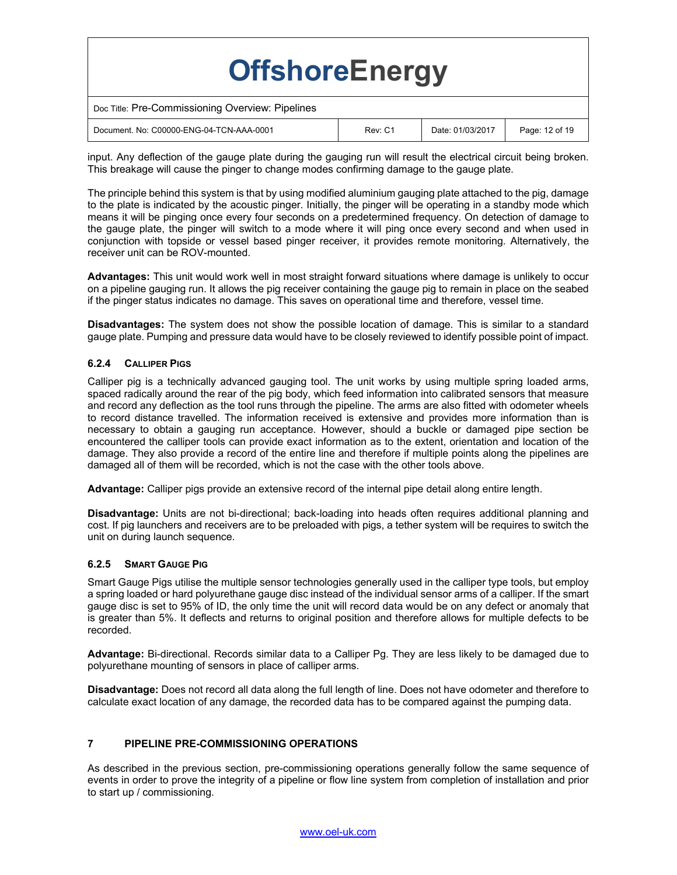| <b>OffshoreEnergy</b>                            |         |                  |                |
|--------------------------------------------------|---------|------------------|----------------|
| Doc Title: Pre-Commissioning Overview: Pipelines |         |                  |                |
| Document, No: C00000-ENG-04-TCN-AAA-0001         | Rev: C1 | Date: 01/03/2017 | Page: 12 of 19 |

input. Any deflection of the gauge plate during the gauging run will result the electrical circuit being broken. This breakage will cause the pinger to change modes confirming damage to the gauge plate.

The principle behind this system is that by using modified aluminium gauging plate attached to the pig, damage to the plate is indicated by the acoustic pinger. Initially, the pinger will be operating in a standby mode which means it will be pinging once every four seconds on a predetermined frequency. On detection of damage to the gauge plate, the pinger will switch to a mode where it will ping once every second and when used in conjunction with topside or vessel based pinger receiver, it provides remote monitoring. Alternatively, the receiver unit can be ROV-mounted.

**Advantages:** This unit would work well in most straight forward situations where damage is unlikely to occur on a pipeline gauging run. It allows the pig receiver containing the gauge pig to remain in place on the seabed if the pinger status indicates no damage. This saves on operational time and therefore, vessel time.

**Disadvantages:** The system does not show the possible location of damage. This is similar to a standard gauge plate. Pumping and pressure data would have to be closely reviewed to identify possible point of impact.

#### **6.2.4 CALLIPER PIGS**

Calliper pig is a technically advanced gauging tool. The unit works by using multiple spring loaded arms, spaced radically around the rear of the pig body, which feed information into calibrated sensors that measure and record any deflection as the tool runs through the pipeline. The arms are also fitted with odometer wheels to record distance travelled. The information received is extensive and provides more information than is necessary to obtain a gauging run acceptance. However, should a buckle or damaged pipe section be encountered the calliper tools can provide exact information as to the extent, orientation and location of the damage. They also provide a record of the entire line and therefore if multiple points along the pipelines are damaged all of them will be recorded, which is not the case with the other tools above.

**Advantage:** Calliper pigs provide an extensive record of the internal pipe detail along entire length.

**Disadvantage:** Units are not bi-directional; back-loading into heads often requires additional planning and cost. If pig launchers and receivers are to be preloaded with pigs, a tether system will be requires to switch the unit on during launch sequence.

#### **6.2.5 SMART GAUGE PIG**

Smart Gauge Pigs utilise the multiple sensor technologies generally used in the calliper type tools, but employ a spring loaded or hard polyurethane gauge disc instead of the individual sensor arms of a calliper. If the smart gauge disc is set to 95% of ID, the only time the unit will record data would be on any defect or anomaly that is greater than 5%. It deflects and returns to original position and therefore allows for multiple defects to be recorded.

**Advantage:** Bi-directional. Records similar data to a Calliper Pg. They are less likely to be damaged due to polyurethane mounting of sensors in place of calliper arms.

**Disadvantage:** Does not record all data along the full length of line. Does not have odometer and therefore to calculate exact location of any damage, the recorded data has to be compared against the pumping data.

# **7 PIPELINE PRE-COMMISSIONING OPERATIONS**

As described in the previous section, pre-commissioning operations generally follow the same sequence of events in order to prove the integrity of a pipeline or flow line system from completion of installation and prior to start up / commissioning.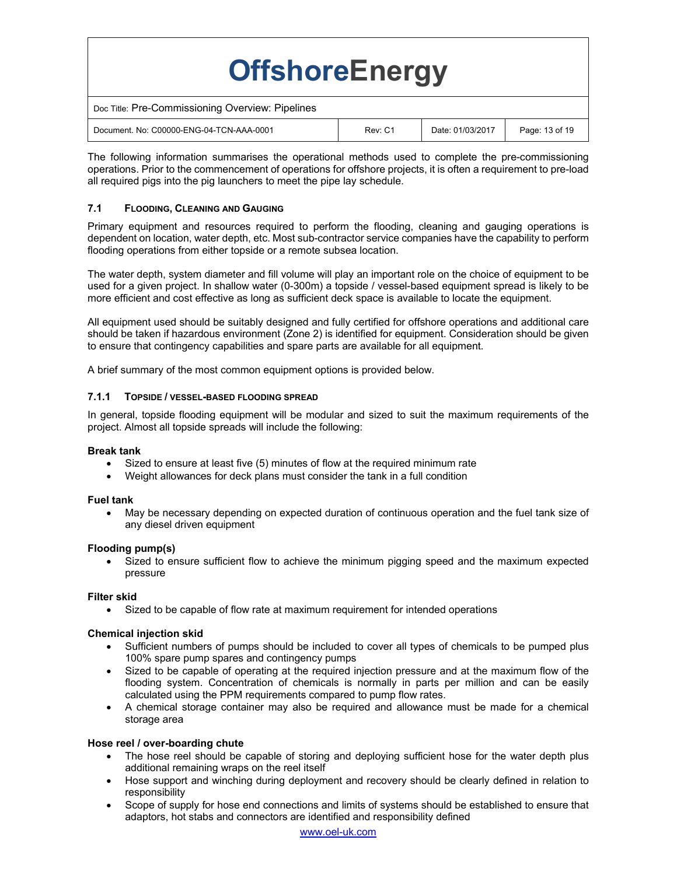| <b>OffshoreEnergy</b>                            |         |                  |                |  |
|--------------------------------------------------|---------|------------------|----------------|--|
| Doc Title: Pre-Commissioning Overview: Pipelines |         |                  |                |  |
| Document, No: C00000-ENG-04-TCN-AAA-0001         | Rev: C1 | Date: 01/03/2017 | Page: 13 of 19 |  |

The following information summarises the operational methods used to complete the pre-commissioning operations. Prior to the commencement of operations for offshore projects, it is often a requirement to pre-load all required pigs into the pig launchers to meet the pipe lay schedule.

# **7.1 FLOODING, CLEANING AND GAUGING**

Primary equipment and resources required to perform the flooding, cleaning and gauging operations is dependent on location, water depth, etc. Most sub-contractor service companies have the capability to perform flooding operations from either topside or a remote subsea location.

The water depth, system diameter and fill volume will play an important role on the choice of equipment to be used for a given project. In shallow water (0-300m) a topside / vessel-based equipment spread is likely to be more efficient and cost effective as long as sufficient deck space is available to locate the equipment.

All equipment used should be suitably designed and fully certified for offshore operations and additional care should be taken if hazardous environment (Zone 2) is identified for equipment. Consideration should be given to ensure that contingency capabilities and spare parts are available for all equipment.

A brief summary of the most common equipment options is provided below.

# **7.1.1 TOPSIDE / VESSEL-BASED FLOODING SPREAD**

In general, topside flooding equipment will be modular and sized to suit the maximum requirements of the project. Almost all topside spreads will include the following:

# **Break tank**

- Sized to ensure at least five (5) minutes of flow at the required minimum rate
- Weight allowances for deck plans must consider the tank in a full condition

#### **Fuel tank**

 May be necessary depending on expected duration of continuous operation and the fuel tank size of any diesel driven equipment

#### **Flooding pump(s)**

 Sized to ensure sufficient flow to achieve the minimum pigging speed and the maximum expected pressure

# **Filter skid**

Sized to be capable of flow rate at maximum requirement for intended operations

# **Chemical injection skid**

- Sufficient numbers of pumps should be included to cover all types of chemicals to be pumped plus 100% spare pump spares and contingency pumps
- Sized to be capable of operating at the required injection pressure and at the maximum flow of the flooding system. Concentration of chemicals is normally in parts per million and can be easily calculated using the PPM requirements compared to pump flow rates.
- A chemical storage container may also be required and allowance must be made for a chemical storage area

# **Hose reel / over-boarding chute**

- The hose reel should be capable of storing and deploying sufficient hose for the water depth plus additional remaining wraps on the reel itself
- Hose support and winching during deployment and recovery should be clearly defined in relation to responsibility
- Scope of supply for hose end connections and limits of systems should be established to ensure that adaptors, hot stabs and connectors are identified and responsibility defined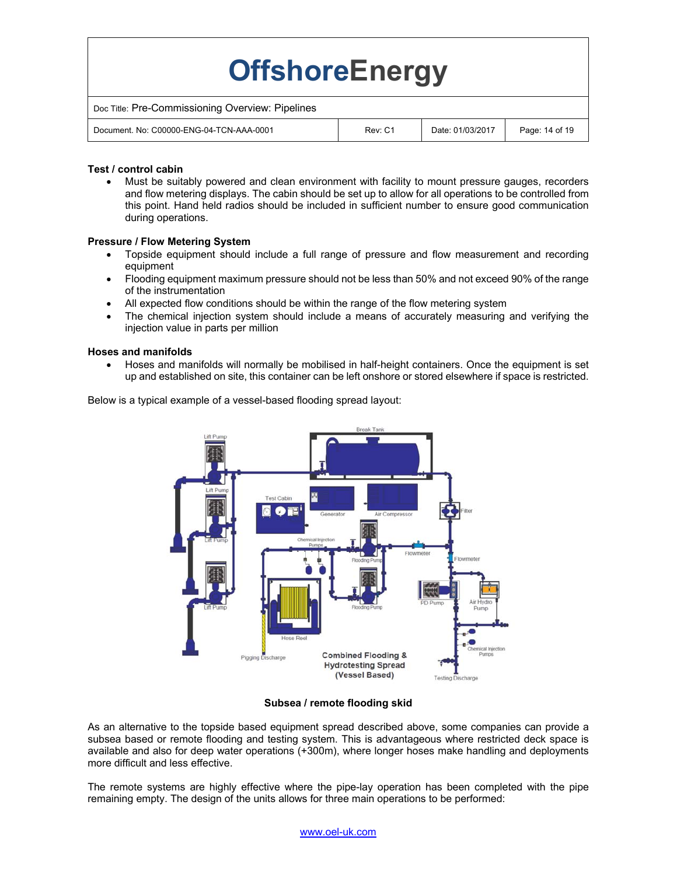| <b>OffshoreEnergy</b>                            |         |                  |                |
|--------------------------------------------------|---------|------------------|----------------|
| Doc Title: Pre-Commissioning Overview: Pipelines |         |                  |                |
| Document, No: C00000-ENG-04-TCN-AAA-0001         | Rev: C1 | Date: 01/03/2017 | Page: 14 of 19 |
|                                                  |         |                  |                |

# **Test / control cabin**

 Must be suitably powered and clean environment with facility to mount pressure gauges, recorders and flow metering displays. The cabin should be set up to allow for all operations to be controlled from this point. Hand held radios should be included in sufficient number to ensure good communication during operations.

# **Pressure / Flow Metering System**

- Topside equipment should include a full range of pressure and flow measurement and recording equipment
- Flooding equipment maximum pressure should not be less than 50% and not exceed 90% of the range of the instrumentation
- All expected flow conditions should be within the range of the flow metering system
- The chemical injection system should include a means of accurately measuring and verifying the injection value in parts per million

#### **Hoses and manifolds**

 Hoses and manifolds will normally be mobilised in half-height containers. Once the equipment is set up and established on site, this container can be left onshore or stored elsewhere if space is restricted.



Below is a typical example of a vessel-based flooding spread layout:

#### **Subsea / remote flooding skid**

As an alternative to the topside based equipment spread described above, some companies can provide a subsea based or remote flooding and testing system. This is advantageous where restricted deck space is available and also for deep water operations (+300m), where longer hoses make handling and deployments more difficult and less effective.

The remote systems are highly effective where the pipe-lay operation has been completed with the pipe remaining empty. The design of the units allows for three main operations to be performed: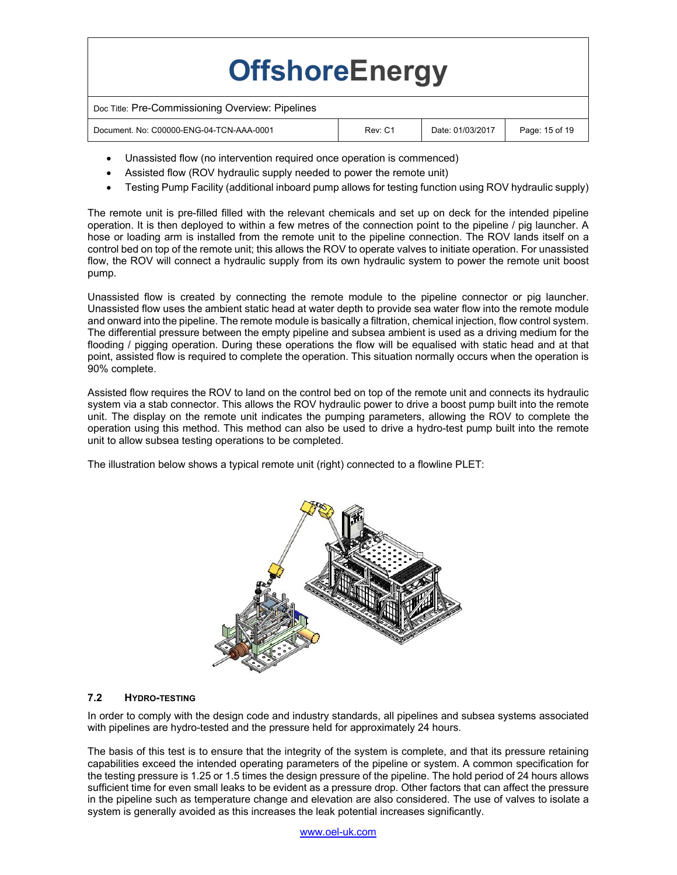| <b>OffshoreEnergy</b>                            |         |                  |                |
|--------------------------------------------------|---------|------------------|----------------|
| Doc Title: Pre-Commissioning Overview: Pipelines |         |                  |                |
| Document, No: C00000-ENG-04-TCN-AAA-0001         | Rev: C1 | Date: 01/03/2017 | Page: 15 of 19 |
|                                                  |         |                  |                |

- Unassisted flow (no intervention required once operation is commenced)
- Assisted flow (ROV hydraulic supply needed to power the remote unit)
- Testing Pump Facility (additional inboard pump allows for testing function using ROV hydraulic supply)

The remote unit is pre-filled filled with the relevant chemicals and set up on deck for the intended pipeline operation. It is then deployed to within a few metres of the connection point to the pipeline / pig launcher. A hose or loading arm is installed from the remote unit to the pipeline connection. The ROV lands itself on a control bed on top of the remote unit; this allows the ROV to operate valves to initiate operation. For unassisted flow, the ROV will connect a hydraulic supply from its own hydraulic system to power the remote unit boost pump.

Unassisted flow is created by connecting the remote module to the pipeline connector or pig launcher. Unassisted flow uses the ambient static head at water depth to provide sea water flow into the remote module and onward into the pipeline. The remote module is basically a filtration, chemical injection, flow control system. The differential pressure between the empty pipeline and subsea ambient is used as a driving medium for the flooding / pigging operation. During these operations the flow will be equalised with static head and at that point, assisted flow is required to complete the operation. This situation normally occurs when the operation is 90% complete.

Assisted flow requires the ROV to land on the control bed on top of the remote unit and connects its hydraulic system via a stab connector. This allows the ROV hydraulic power to drive a boost pump built into the remote unit. The display on the remote unit indicates the pumping parameters, allowing the ROV to complete the operation using this method. This method can also be used to drive a hydro-test pump built into the remote unit to allow subsea testing operations to be completed.

The illustration below shows a typical remote unit (right) connected to a flowline PLET:



# **7.2 HYDRO-TESTING**

In order to comply with the design code and industry standards, all pipelines and subsea systems associated with pipelines are hydro-tested and the pressure held for approximately 24 hours.

The basis of this test is to ensure that the integrity of the system is complete, and that its pressure retaining capabilities exceed the intended operating parameters of the pipeline or system. A common specification for the testing pressure is 1.25 or 1.5 times the design pressure of the pipeline. The hold period of 24 hours allows sufficient time for even small leaks to be evident as a pressure drop. Other factors that can affect the pressure in the pipeline such as temperature change and elevation are also considered. The use of valves to isolate a system is generally avoided as this increases the leak potential increases significantly.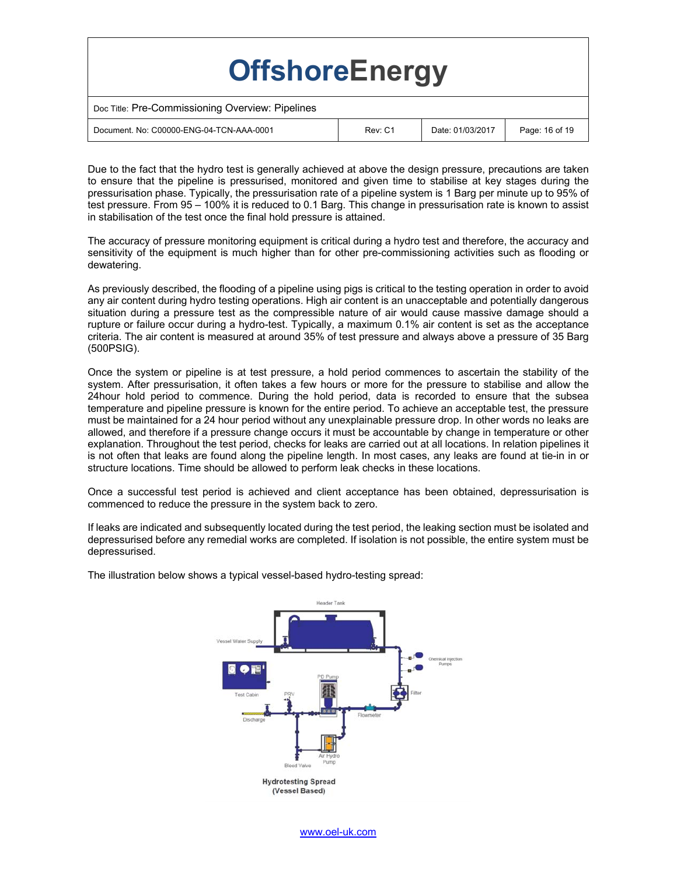| <b>OffshoreEnergy</b>                            |         |                  |                |
|--------------------------------------------------|---------|------------------|----------------|
| Doc Title: Pre-Commissioning Overview: Pipelines |         |                  |                |
| Document, No: C00000-ENG-04-TCN-AAA-0001         | Rev: C1 | Date: 01/03/2017 | Page: 16 of 19 |

Due to the fact that the hydro test is generally achieved at above the design pressure, precautions are taken to ensure that the pipeline is pressurised, monitored and given time to stabilise at key stages during the pressurisation phase. Typically, the pressurisation rate of a pipeline system is 1 Barg per minute up to 95% of test pressure. From 95 – 100% it is reduced to 0.1 Barg. This change in pressurisation rate is known to assist in stabilisation of the test once the final hold pressure is attained.

The accuracy of pressure monitoring equipment is critical during a hydro test and therefore, the accuracy and sensitivity of the equipment is much higher than for other pre-commissioning activities such as flooding or dewatering.

As previously described, the flooding of a pipeline using pigs is critical to the testing operation in order to avoid any air content during hydro testing operations. High air content is an unacceptable and potentially dangerous situation during a pressure test as the compressible nature of air would cause massive damage should a rupture or failure occur during a hydro-test. Typically, a maximum 0.1% air content is set as the acceptance criteria. The air content is measured at around 35% of test pressure and always above a pressure of 35 Barg (500PSIG).

Once the system or pipeline is at test pressure, a hold period commences to ascertain the stability of the system. After pressurisation, it often takes a few hours or more for the pressure to stabilise and allow the 24hour hold period to commence. During the hold period, data is recorded to ensure that the subsea temperature and pipeline pressure is known for the entire period. To achieve an acceptable test, the pressure must be maintained for a 24 hour period without any unexplainable pressure drop. In other words no leaks are allowed, and therefore if a pressure change occurs it must be accountable by change in temperature or other explanation. Throughout the test period, checks for leaks are carried out at all locations. In relation pipelines it is not often that leaks are found along the pipeline length. In most cases, any leaks are found at tie-in in or structure locations. Time should be allowed to perform leak checks in these locations.

Once a successful test period is achieved and client acceptance has been obtained, depressurisation is commenced to reduce the pressure in the system back to zero.

If leaks are indicated and subsequently located during the test period, the leaking section must be isolated and depressurised before any remedial works are completed. If isolation is not possible, the entire system must be depressurised.



The illustration below shows a typical vessel-based hydro-testing spread: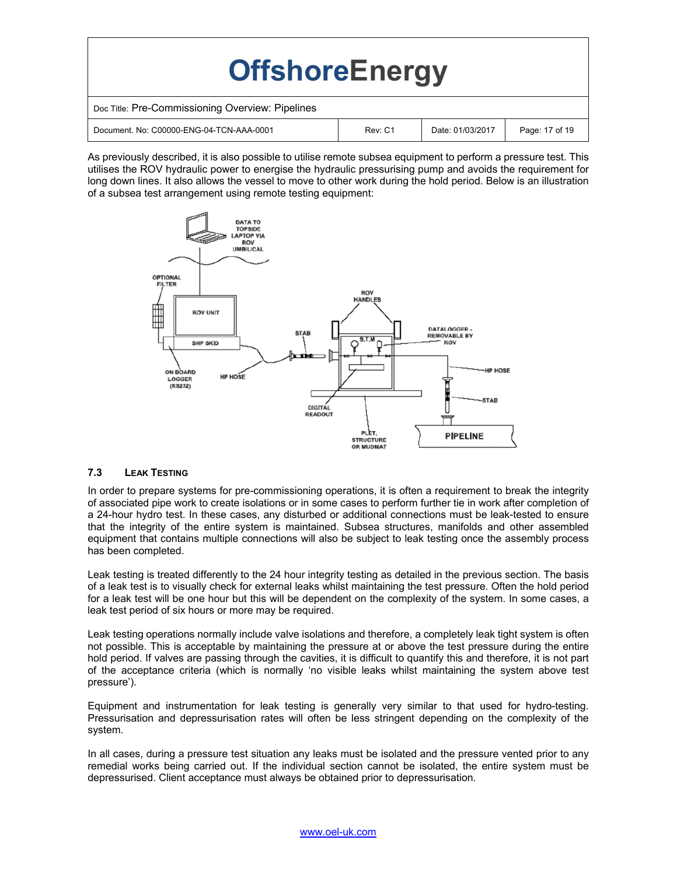| <b>OffshoreEnergy</b>                            |         |                  |                |
|--------------------------------------------------|---------|------------------|----------------|
| Doc Title: Pre-Commissioning Overview: Pipelines |         |                  |                |
| Document, No: C00000-ENG-04-TCN-AAA-0001         | Rev: C1 | Date: 01/03/2017 | Page: 17 of 19 |

As previously described, it is also possible to utilise remote subsea equipment to perform a pressure test. This utilises the ROV hydraulic power to energise the hydraulic pressurising pump and avoids the requirement for long down lines. It also allows the vessel to move to other work during the hold period. Below is an illustration of a subsea test arrangement using remote testing equipment:



#### **7.3 LEAK TESTING**

In order to prepare systems for pre-commissioning operations, it is often a requirement to break the integrity of associated pipe work to create isolations or in some cases to perform further tie in work after completion of a 24-hour hydro test. In these cases, any disturbed or additional connections must be leak-tested to ensure that the integrity of the entire system is maintained. Subsea structures, manifolds and other assembled equipment that contains multiple connections will also be subject to leak testing once the assembly process has been completed.

Leak testing is treated differently to the 24 hour integrity testing as detailed in the previous section. The basis of a leak test is to visually check for external leaks whilst maintaining the test pressure. Often the hold period for a leak test will be one hour but this will be dependent on the complexity of the system. In some cases, a leak test period of six hours or more may be required.

Leak testing operations normally include valve isolations and therefore, a completely leak tight system is often not possible. This is acceptable by maintaining the pressure at or above the test pressure during the entire hold period. If valves are passing through the cavities, it is difficult to quantify this and therefore, it is not part of the acceptance criteria (which is normally 'no visible leaks whilst maintaining the system above test pressure').

Equipment and instrumentation for leak testing is generally very similar to that used for hydro-testing. Pressurisation and depressurisation rates will often be less stringent depending on the complexity of the system.

In all cases, during a pressure test situation any leaks must be isolated and the pressure vented prior to any remedial works being carried out. If the individual section cannot be isolated, the entire system must be depressurised. Client acceptance must always be obtained prior to depressurisation.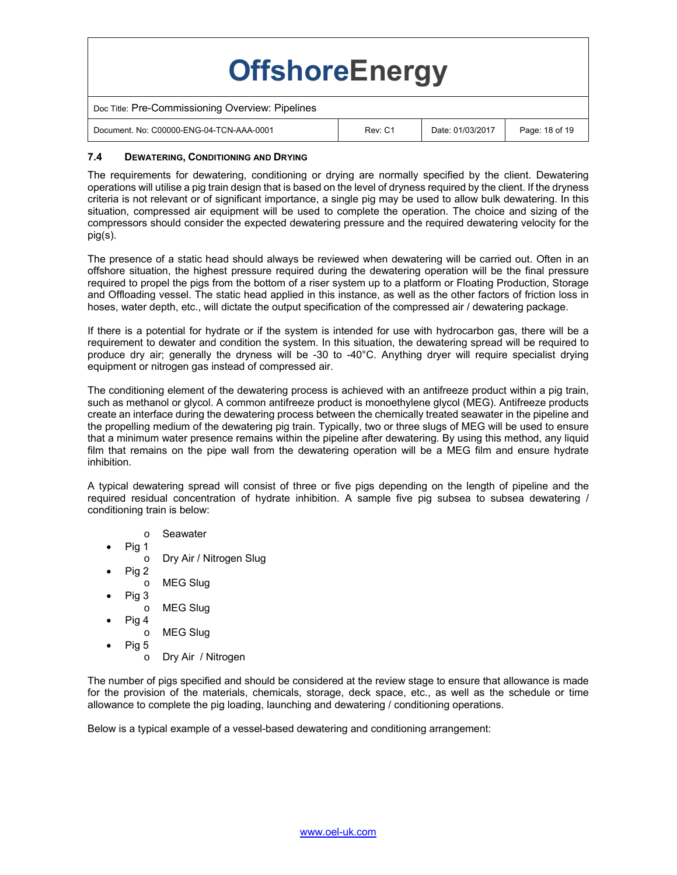| <b>OffshoreEnergy</b>                            |         |                  |                |
|--------------------------------------------------|---------|------------------|----------------|
| Doc Title: Pre-Commissioning Overview: Pipelines |         |                  |                |
| Document, No: C00000-ENG-04-TCN-AAA-0001         | Rev: C1 | Date: 01/03/2017 | Page: 18 of 19 |

# **7.4 DEWATERING, CONDITIONING AND DRYING**

The requirements for dewatering, conditioning or drying are normally specified by the client. Dewatering operations will utilise a pig train design that is based on the level of dryness required by the client. If the dryness criteria is not relevant or of significant importance, a single pig may be used to allow bulk dewatering. In this situation, compressed air equipment will be used to complete the operation. The choice and sizing of the compressors should consider the expected dewatering pressure and the required dewatering velocity for the pig(s).

The presence of a static head should always be reviewed when dewatering will be carried out. Often in an offshore situation, the highest pressure required during the dewatering operation will be the final pressure required to propel the pigs from the bottom of a riser system up to a platform or Floating Production, Storage and Offloading vessel. The static head applied in this instance, as well as the other factors of friction loss in hoses, water depth, etc., will dictate the output specification of the compressed air / dewatering package.

If there is a potential for hydrate or if the system is intended for use with hydrocarbon gas, there will be a requirement to dewater and condition the system. In this situation, the dewatering spread will be required to produce dry air; generally the dryness will be -30 to -40°C. Anything dryer will require specialist drying equipment or nitrogen gas instead of compressed air.

The conditioning element of the dewatering process is achieved with an antifreeze product within a pig train, such as methanol or glycol. A common antifreeze product is monoethylene glycol (MEG). Antifreeze products create an interface during the dewatering process between the chemically treated seawater in the pipeline and the propelling medium of the dewatering pig train. Typically, two or three slugs of MEG will be used to ensure that a minimum water presence remains within the pipeline after dewatering. By using this method, any liquid film that remains on the pipe wall from the dewatering operation will be a MEG film and ensure hydrate inhibition.

A typical dewatering spread will consist of three or five pigs depending on the length of pipeline and the required residual concentration of hydrate inhibition. A sample five pig subsea to subsea dewatering / conditioning train is below:

- o Seawater
- Pig 1
	- o Dry Air / Nitrogen Slug
	- Pig 2 o MEG Slug
- Pig 3
- o MEG Slug
- Pig 4
	- o MEG Slug
- Pig 5
	- o Dry Air / Nitrogen

The number of pigs specified and should be considered at the review stage to ensure that allowance is made for the provision of the materials, chemicals, storage, deck space, etc., as well as the schedule or time allowance to complete the pig loading, launching and dewatering / conditioning operations.

Below is a typical example of a vessel-based dewatering and conditioning arrangement: